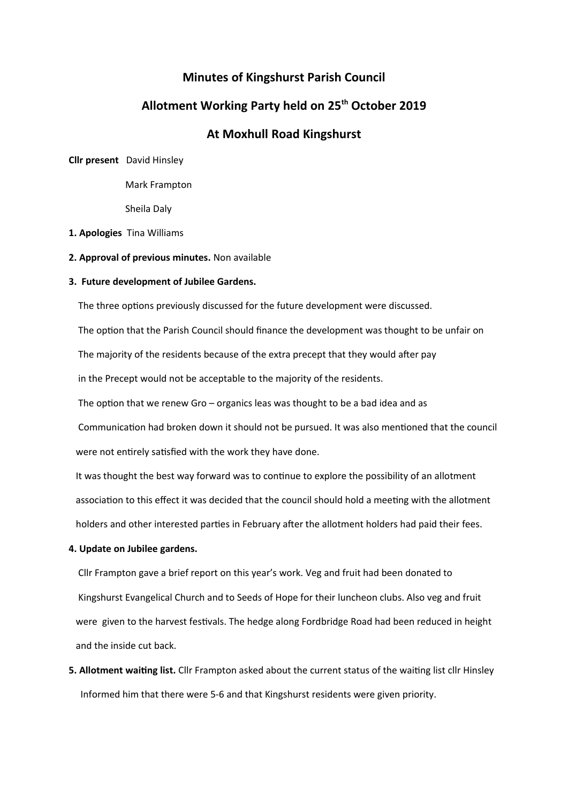## **Minutes of Kingshurst Parish Council**

## **Allotment Working Party held on 25th October 2019**

# **At Moxhull Road Kingshurst**

**Cllr present** David Hinsley

Mark Frampton

Sheila Daly

- **1. Apologies** Tina Williams
- **2. Approval of previous minutes.** Non available

#### **3. Future development of Jubilee Gardens.**

The three options previously discussed for the future development were discussed.

 The option that the Parish Council should finance the development was thought to be unfair on The majority of the residents because of the extra precept that they would after pay in the Precept would not be acceptable to the majority of the residents.

The option that we renew Gro – organics leas was thought to be a bad idea and as

 Communication had broken down it should not be pursued. It was also mentioned that the council were not entirely satisfied with the work they have done.

 It was thought the best way forward was to continue to explore the possibility of an allotment association to this effect it was decided that the council should hold a meeting with the allotment holders and other interested parties in February after the allotment holders had paid their fees.

**4. Update on Jubilee gardens.**

 Cllr Frampton gave a brief report on this year's work. Veg and fruit had been donated to Kingshurst Evangelical Church and to Seeds of Hope for their luncheon clubs. Also veg and fruit were given to the harvest festivals. The hedge along Fordbridge Road had been reduced in height and the inside cut back.

**5. Allotment waiting list.** Cllr Frampton asked about the current status of the waiting list cllr Hinsley Informed him that there were 5-6 and that Kingshurst residents were given priority.